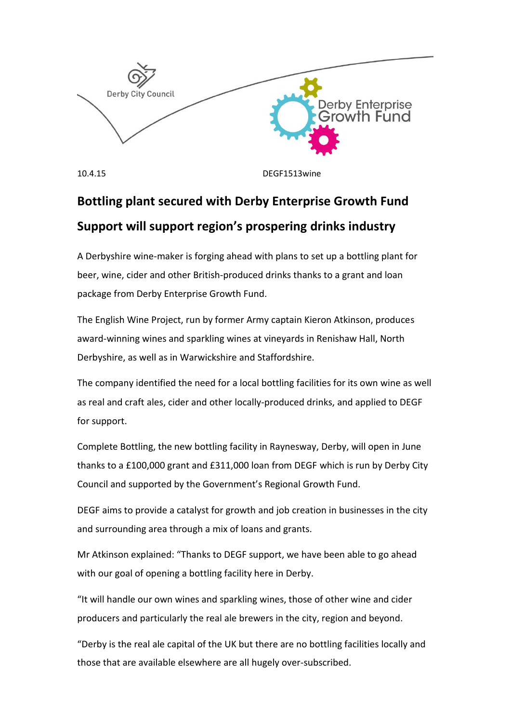

10.4.15 DEGF1513wine

# **Bottling plant secured with Derby Enterprise Growth Fund Support will support region's prospering drinks industry**

A Derbyshire wine-maker is forging ahead with plans to set up a bottling plant for beer, wine, cider and other British-produced drinks thanks to a grant and loan package from Derby Enterprise Growth Fund.

The English Wine Project, run by former Army captain Kieron Atkinson, produces award-winning wines and sparkling wines at vineyards in Renishaw Hall, North Derbyshire, as well as in Warwickshire and Staffordshire.

The company identified the need for a local bottling facilities for its own wine as well as real and craft ales, cider and other locally-produced drinks, and applied to DEGF for support.

Complete Bottling, the new bottling facility in Raynesway, Derby, will open in June thanks to a £100,000 grant and £311,000 loan from DEGF which is run by Derby City Council and supported by the Government's Regional Growth Fund.

DEGF aims to provide a catalyst for growth and job creation in businesses in the city and surrounding area through a mix of loans and grants.

Mr Atkinson explained: "Thanks to DEGF support, we have been able to go ahead with our goal of opening a bottling facility here in Derby.

"It will handle our own wines and sparkling wines, those of other wine and cider producers and particularly the real ale brewers in the city, region and beyond.

"Derby is the real ale capital of the UK but there are no bottling facilities locally and those that are available elsewhere are all hugely over-subscribed.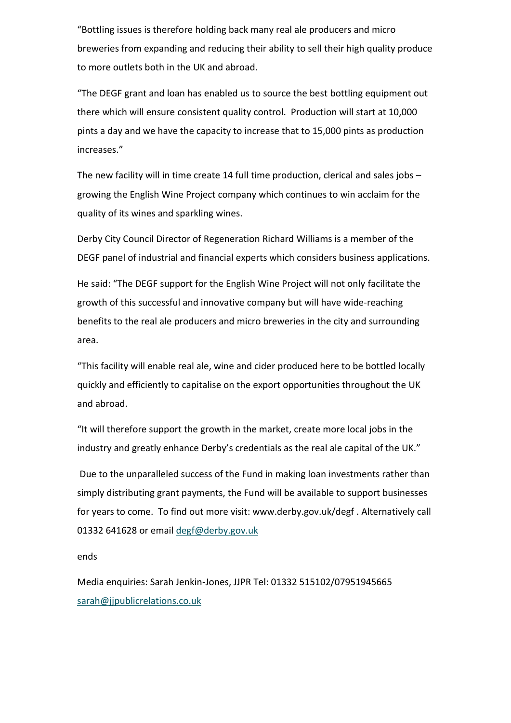"Bottling issues is therefore holding back many real ale producers and micro breweries from expanding and reducing their ability to sell their high quality produce to more outlets both in the UK and abroad.

"The DEGF grant and loan has enabled us to source the best bottling equipment out there which will ensure consistent quality control. Production will start at 10,000 pints a day and we have the capacity to increase that to 15,000 pints as production increases."

The new facility will in time create 14 full time production, clerical and sales jobs – growing the English Wine Project company which continues to win acclaim for the quality of its wines and sparkling wines.

Derby City Council Director of Regeneration Richard Williams is a member of the DEGF panel of industrial and financial experts which considers business applications.

He said: "The DEGF support for the English Wine Project will not only facilitate the growth of this successful and innovative company but will have wide-reaching benefits to the real ale producers and micro breweries in the city and surrounding area.

"This facility will enable real ale, wine and cider produced here to be bottled locally quickly and efficiently to capitalise on the export opportunities throughout the UK and abroad.

"It will therefore support the growth in the market, create more local jobs in the industry and greatly enhance Derby's credentials as the real ale capital of the UK."

Due to the unparalleled success of the Fund in making loan investments rather than simply distributing grant payments, the Fund will be available to support businesses for years to come. To find out more visit: www.derby.gov.uk/degf . Alternatively call 01332 641628 or email [degf@derby.gov.uk](mailto:degf@derby.gov.uk)

ends

Media enquiries: Sarah Jenkin-Jones, JJPR Tel: 01332 515102/07951945665 [sarah@jjpublicrelations.co.uk](mailto:sarah@jjpublicrelations.co.uk)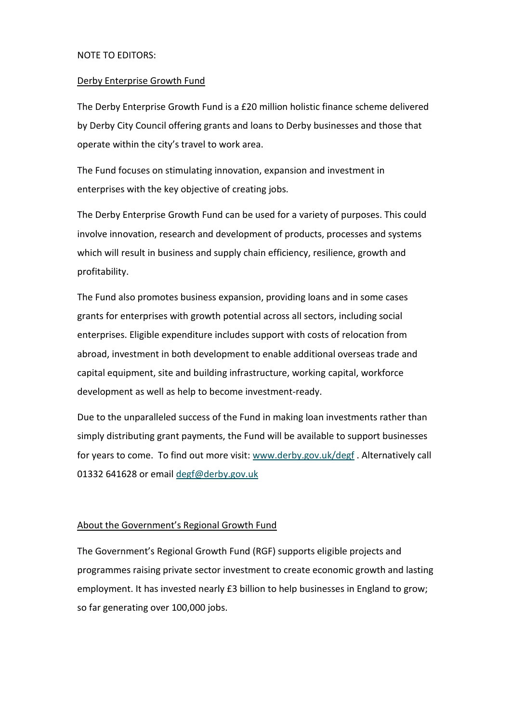### NOTE TO EDITORS:

#### Derby Enterprise Growth Fund

The Derby Enterprise Growth Fund is a £20 million holistic finance scheme delivered by Derby City Council offering grants and loans to Derby businesses and those that operate within the city's travel to work area.

The Fund focuses on stimulating innovation, expansion and investment in enterprises with the key objective of creating jobs.

The Derby Enterprise Growth Fund can be used for a variety of purposes. This could involve innovation, research and development of products, processes and systems which will result in business and supply chain efficiency, resilience, growth and profitability.

The Fund also promotes business expansion, providing loans and in some cases grants for enterprises with growth potential across all sectors, including social enterprises. Eligible expenditure includes support with costs of relocation from abroad, investment in both development to enable additional overseas trade and capital equipment, site and building infrastructure, working capital, workforce development as well as help to become investment-ready.

Due to the unparalleled success of the Fund in making loan investments rather than simply distributing grant payments, the Fund will be available to support businesses for years to come. To find out more visit: [www.derby.gov.uk/degf](http://www.derby.gov.uk/degf) . Alternatively call 01332 641628 or email [degf@derby.gov.uk](mailto:degf@derby.gov.uk)

## About the Government's Regional Growth Fund

The Government's Regional Growth Fund (RGF) supports eligible projects and programmes raising private sector investment to create economic growth and lasting employment. It has invested nearly £3 billion to help businesses in England to grow; so far generating over 100,000 jobs.